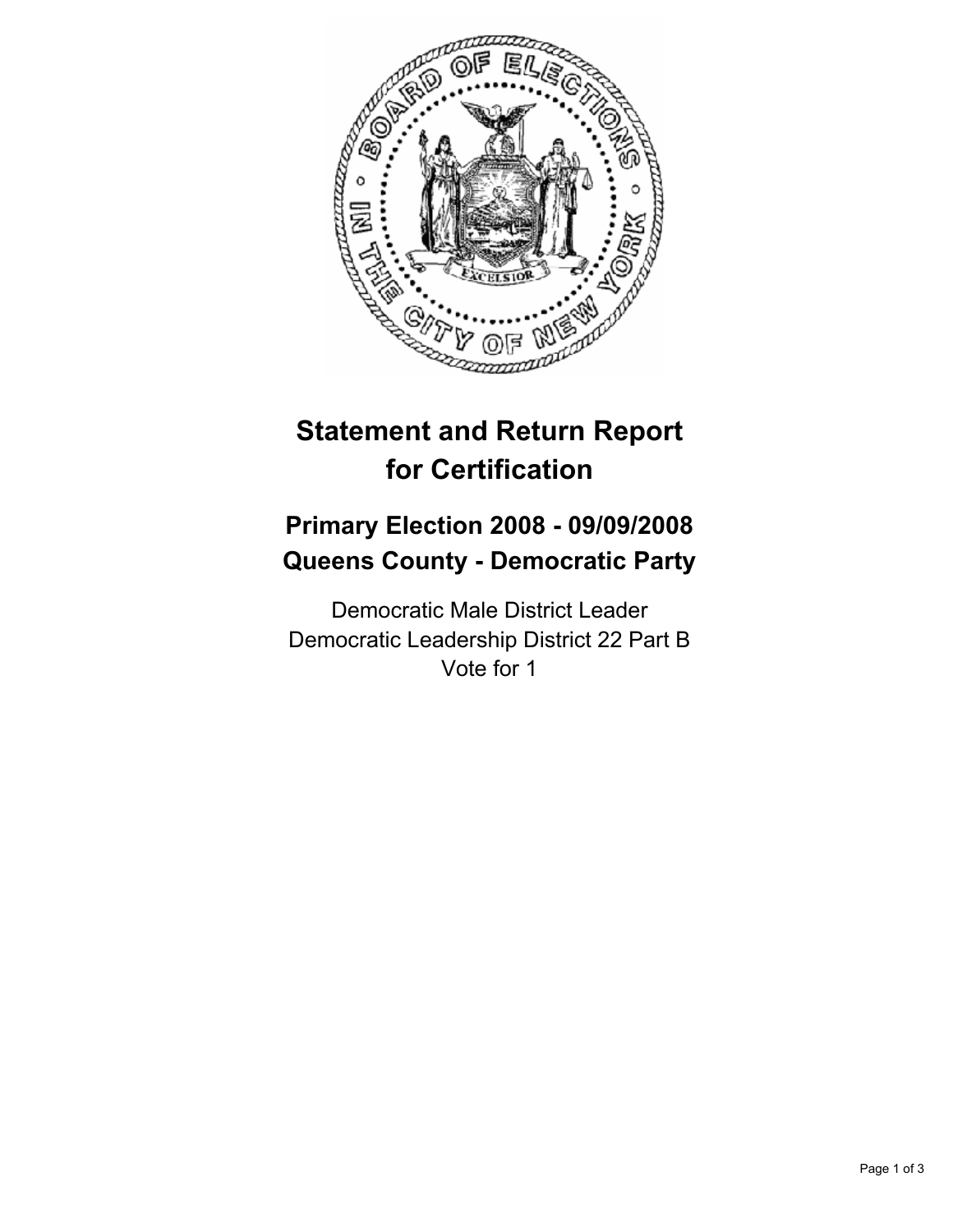

# **Statement and Return Report for Certification**

# **Primary Election 2008 - 09/09/2008 Queens County - Democratic Party**

Democratic Male District Leader Democratic Leadership District 22 Part B Vote for 1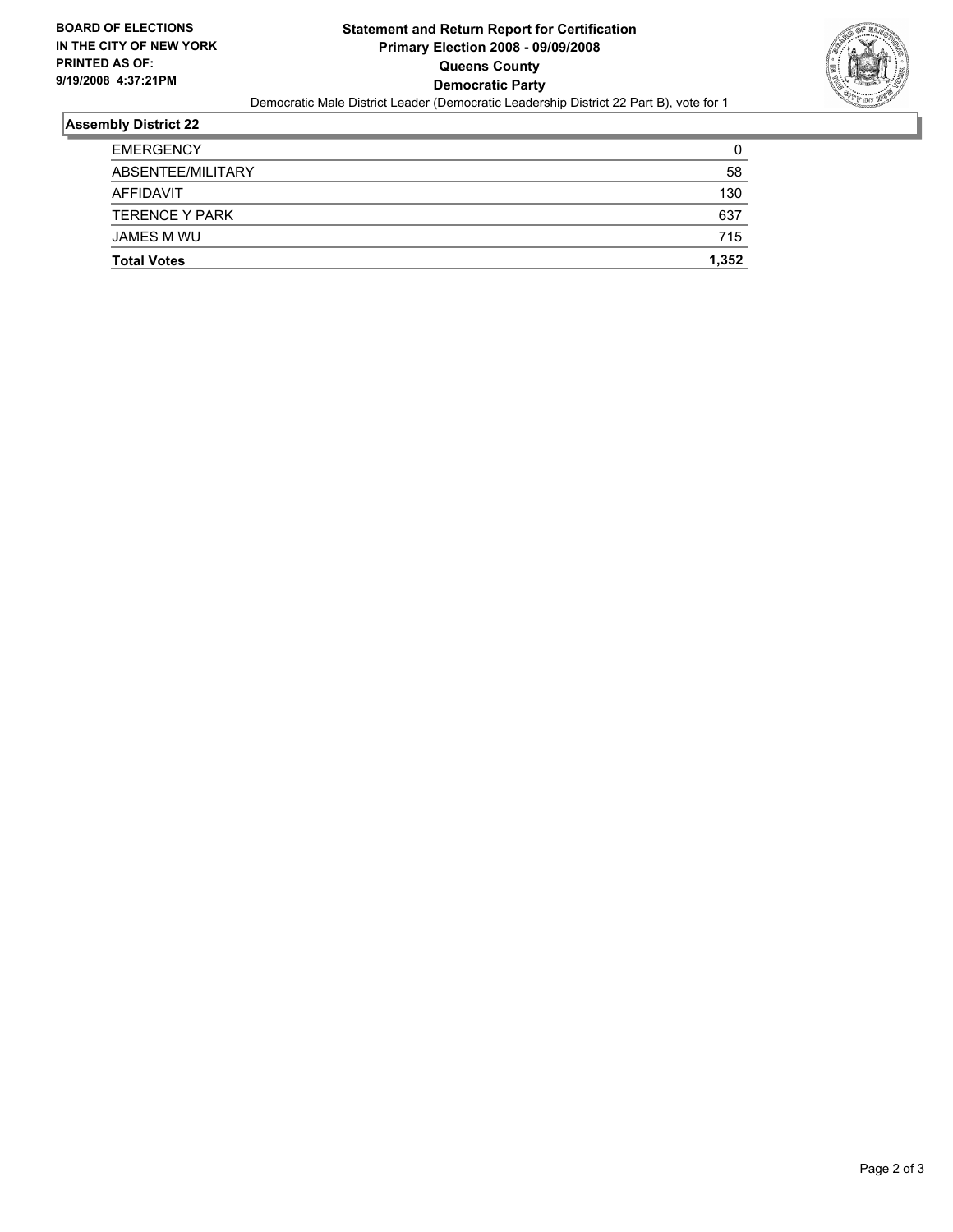

#### **Assembly District 22**

| <b>Total Votes</b>    | 1,352 |
|-----------------------|-------|
| JAMES M WU            | 715   |
| <b>TERENCE Y PARK</b> | 637   |
| AFFIDAVIT             | 130   |
| ABSENTEE/MILITARY     | 58    |
| <b>EMERGENCY</b>      | C     |